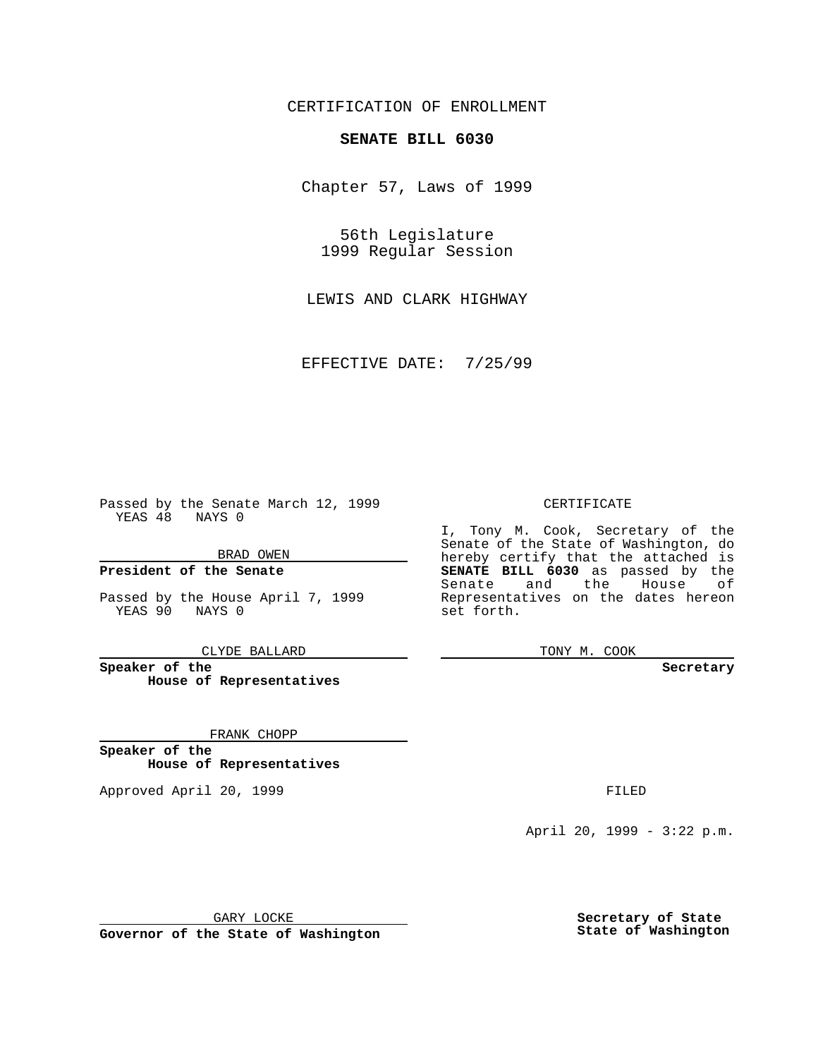CERTIFICATION OF ENROLLMENT

## **SENATE BILL 6030**

Chapter 57, Laws of 1999

56th Legislature 1999 Regular Session

LEWIS AND CLARK HIGHWAY

EFFECTIVE DATE: 7/25/99

Passed by the Senate March 12, 1999 YEAS 48 NAYS 0

BRAD OWEN

**President of the Senate**

Passed by the House April 7, 1999 YEAS 90 NAYS 0

CLYDE BALLARD

**Speaker of the House of Representatives**

FRANK CHOPP

**Speaker of the House of Representatives**

Approved April 20, 1999 **FILED** 

## CERTIFICATE

I, Tony M. Cook, Secretary of the Senate of the State of Washington, do hereby certify that the attached is **SENATE BILL 6030** as passed by the Senate and the House of Representatives on the dates hereon set forth.

TONY M. COOK

## **Secretary**

April 20, 1999 - 3:22 p.m.

GARY LOCKE

**Governor of the State of Washington**

**Secretary of State State of Washington**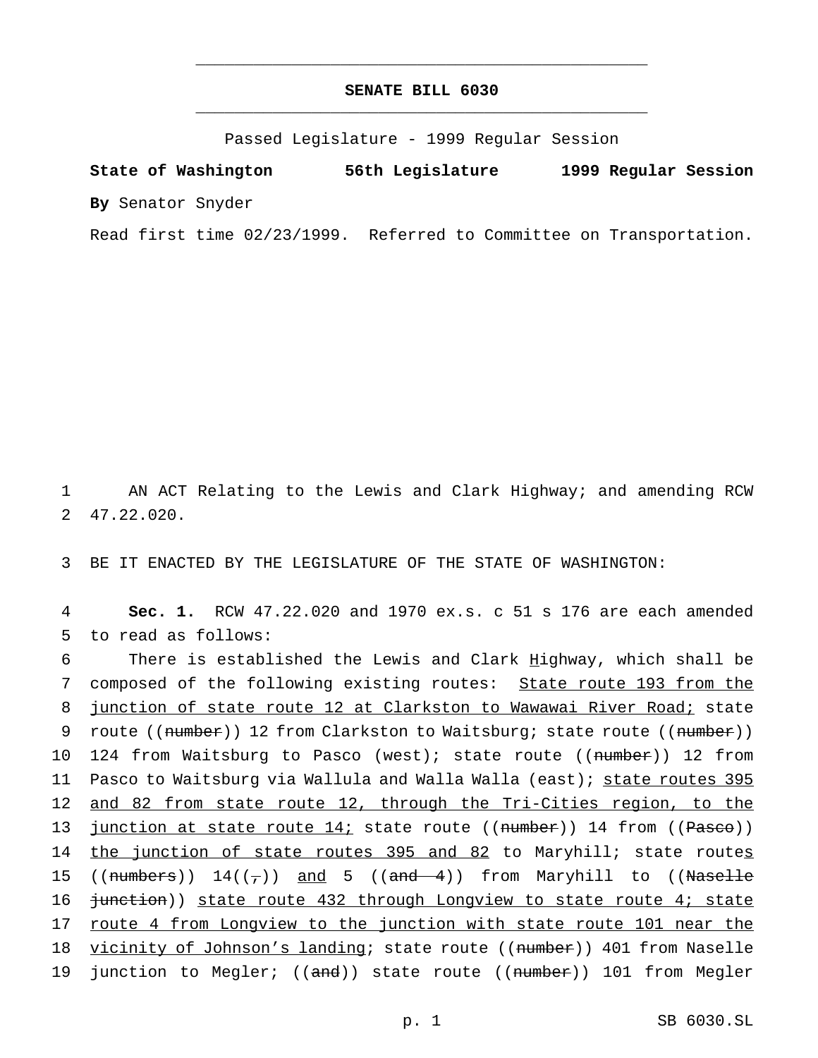## **SENATE BILL 6030** \_\_\_\_\_\_\_\_\_\_\_\_\_\_\_\_\_\_\_\_\_\_\_\_\_\_\_\_\_\_\_\_\_\_\_\_\_\_\_\_\_\_\_\_\_\_\_

\_\_\_\_\_\_\_\_\_\_\_\_\_\_\_\_\_\_\_\_\_\_\_\_\_\_\_\_\_\_\_\_\_\_\_\_\_\_\_\_\_\_\_\_\_\_\_

Passed Legislature - 1999 Regular Session

**State of Washington 56th Legislature 1999 Regular Session By** Senator Snyder

Read first time 02/23/1999. Referred to Committee on Transportation.

1 AN ACT Relating to the Lewis and Clark Highway; and amending RCW 2 47.22.020.

3 BE IT ENACTED BY THE LEGISLATURE OF THE STATE OF WASHINGTON:

4 **Sec. 1.** RCW 47.22.020 and 1970 ex.s. c 51 s 176 are each amended 5 to read as follows:

6 There is established the Lewis and Clark Highway, which shall be 7 composed of the following existing routes: State route 193 from the 8 junction of state route 12 at Clarkston to Wawawai River Road; state 9 route ((number)) 12 from Clarkston to Waitsburg; state route ((number)) 10 124 from Waitsburg to Pasco (west); state route ((number)) 12 from 11 Pasco to Waitsburg via Wallula and Walla Walla (east); state routes 395 12 and 82 from state route 12, through the Tri-Cities region, to the 13 junction at state route  $14i$ ; state route ((number)) 14 from ((Pasco)) 14 the junction of state routes 395 and 82 to Maryhill; state routes 15 (( $\frac{5}{15}$  )  $\frac{14}{7}$ ) and 5 (( $\frac{3}{100}$  from Maryhill to (( $\frac{7}{100}$ ) 16 <del>junction</del>)) state route 432 through Longview to state route 4; state 17 route 4 from Longview to the junction with state route 101 near the 18 vicinity of Johnson's landing; state route ((number)) 401 from Naselle 19 junction to Megler; ((and)) state route ((number)) 101 from Megler